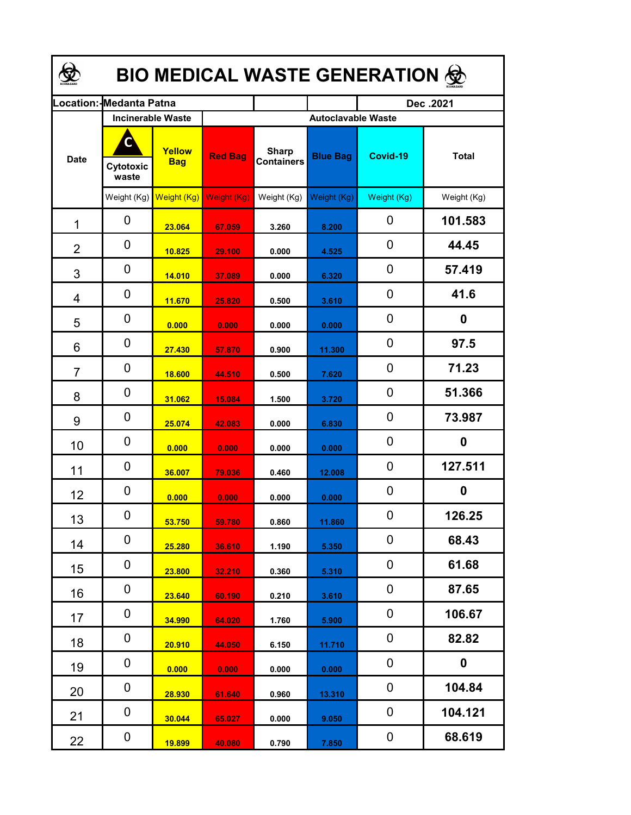| <b>BIO MEDICAL WASTE GENERATION ©</b> |                          |                      |                |                                   |                           |             |              |  |  |  |
|---------------------------------------|--------------------------|----------------------|----------------|-----------------------------------|---------------------------|-------------|--------------|--|--|--|
| .ocation:                             | Medanta Patna            |                      |                | Dec.2021                          |                           |             |              |  |  |  |
|                                       | <b>Incinerable Waste</b> |                      |                |                                   | <b>Autoclavable Waste</b> |             |              |  |  |  |
| <b>Date</b>                           | Cytotoxic<br>waste       | Yellow<br><b>Bag</b> | <b>Red Bag</b> | <b>Sharp</b><br><b>Containers</b> | <b>Blue Bag</b>           | Covid-19    | <b>Total</b> |  |  |  |
|                                       | Weight (Kg)              | Weight (Kg)          | Weight (Kg)    | Weight (Kg)                       | Weight (Kg)               | Weight (Kg) | Weight (Kg)  |  |  |  |
| 1                                     | 0                        | 23.064               | 67.059         | 3.260                             | 8.200                     | 0           | 101.583      |  |  |  |
| $\overline{2}$                        | 0                        | 10.825               | 29.100         | 0.000                             | 4.525                     | 0           | 44.45        |  |  |  |
| 3                                     | 0                        | 14.010               | 37.089         | 0.000                             | 6.320                     | 0           | 57.419       |  |  |  |
| 4                                     | 0                        | 11.670               | 25.820         | 0.500                             | 3.610                     | 0           | 41.6         |  |  |  |
| 5                                     | 0                        | 0.000                | 0.000          | 0.000                             | 0.000                     | 0           | $\mathbf 0$  |  |  |  |
| 6                                     | 0                        | 27.430               | 57.870         | 0.900                             | 11.300                    | 0           | 97.5         |  |  |  |
| $\overline{7}$                        | $\mathbf 0$              | 18.600               | 44.510         | 0.500                             | 7.620                     | 0           | 71.23        |  |  |  |
| 8                                     | 0                        | 31.062               | 15.084         | 1.500                             | 3.720                     | 0           | 51.366       |  |  |  |
| 9                                     | 0                        | 25.074               | 42.083         | 0.000                             | 6.830                     | 0           | 73.987       |  |  |  |
| 10                                    | 0                        | 0.000                | 0.000          | 0.000                             | 0.000                     | 0           | $\bf{0}$     |  |  |  |
| 11                                    | 0                        | 36.007               | 79.036         | 0.460                             | 12.008                    | 0           | 127.511      |  |  |  |
| 12                                    | 0                        | 0.000                | 0.000          | 0.000                             | 0.000                     | 0           | 0            |  |  |  |
| 13                                    | 0                        | 53.750               | 59.780         | 0.860                             | 11.860                    | 0           | 126.25       |  |  |  |
| 14                                    | 0                        | 25.280               | 36.610         | 1.190                             | 5.350                     | 0           | 68.43        |  |  |  |
| 15                                    | 0                        | 23.800               | 32.210         | 0.360                             | 5.310                     | 0           | 61.68        |  |  |  |
| 16                                    | 0                        | 23.640               | 60.190         | 0.210                             | 3.610                     | 0           | 87.65        |  |  |  |
| 17                                    | 0                        | 34.990               | 64.020         | 1.760                             | 5.900                     | 0           | 106.67       |  |  |  |
| 18                                    | 0                        | 20.910               | 44.050         | 6.150                             | 11.710                    | 0           | 82.82        |  |  |  |
| 19                                    | 0                        | 0.000                | 0.000          | 0.000                             | 0.000                     | 0           | 0            |  |  |  |
| 20                                    | 0                        | 28.930               | 61.640         | 0.960                             | 13.310                    | 0           | 104.84       |  |  |  |
| 21                                    | 0                        | 30.044               | 65.027         | 0.000                             | 9.050                     | 0           | 104.121      |  |  |  |
| 22                                    | 0                        | <b>19.899</b>        | 40.080         | 0.790                             | 7.850                     | 0           | 68.619       |  |  |  |